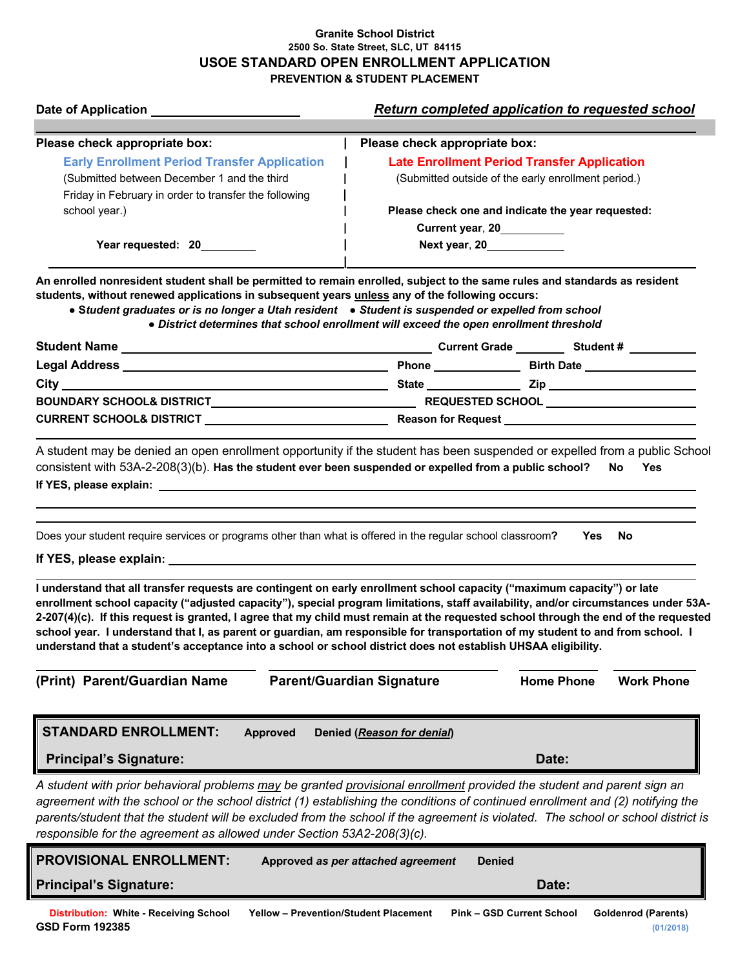## **Granite School District 2500 So. State Street, SLC, UT 84115 USOE STANDARD OPEN ENROLLMENT APPLICATION PREVENTION & STUDENT PLACEMENT**

|                                                                                                                                                                                                                                                                                                                                                                                                                                                                                                                                                                                                                                                                                                                                                                                     | <b>Return completed application to requested school</b>                    |
|-------------------------------------------------------------------------------------------------------------------------------------------------------------------------------------------------------------------------------------------------------------------------------------------------------------------------------------------------------------------------------------------------------------------------------------------------------------------------------------------------------------------------------------------------------------------------------------------------------------------------------------------------------------------------------------------------------------------------------------------------------------------------------------|----------------------------------------------------------------------------|
| Please check appropriate box:                                                                                                                                                                                                                                                                                                                                                                                                                                                                                                                                                                                                                                                                                                                                                       | Please check appropriate box:                                              |
| <b>Early Enrollment Period Transfer Application</b>                                                                                                                                                                                                                                                                                                                                                                                                                                                                                                                                                                                                                                                                                                                                 | <b>Late Enrollment Period Transfer Application</b>                         |
| (Submitted between December 1 and the third                                                                                                                                                                                                                                                                                                                                                                                                                                                                                                                                                                                                                                                                                                                                         | (Submitted outside of the early enrollment period.)                        |
| Friday in February in order to transfer the following                                                                                                                                                                                                                                                                                                                                                                                                                                                                                                                                                                                                                                                                                                                               |                                                                            |
| school year.)                                                                                                                                                                                                                                                                                                                                                                                                                                                                                                                                                                                                                                                                                                                                                                       | Please check one and indicate the year requested:                          |
|                                                                                                                                                                                                                                                                                                                                                                                                                                                                                                                                                                                                                                                                                                                                                                                     | Current year, 20__________                                                 |
| Year requested: 20________                                                                                                                                                                                                                                                                                                                                                                                                                                                                                                                                                                                                                                                                                                                                                          | Next year, 20                                                              |
| An enrolled nonresident student shall be permitted to remain enrolled, subject to the same rules and standards as resident<br>students, without renewed applications in subsequent years unless any of the following occurs:<br>• Student graduates or is no longer a Utah resident • Student is suspended or expelled from school<br>. District determines that school enrollment will exceed the open enrollment threshold                                                                                                                                                                                                                                                                                                                                                        |                                                                            |
|                                                                                                                                                                                                                                                                                                                                                                                                                                                                                                                                                                                                                                                                                                                                                                                     |                                                                            |
|                                                                                                                                                                                                                                                                                                                                                                                                                                                                                                                                                                                                                                                                                                                                                                                     |                                                                            |
|                                                                                                                                                                                                                                                                                                                                                                                                                                                                                                                                                                                                                                                                                                                                                                                     |                                                                            |
| BOUNDARY SCHOOL& DISTRICT__________________________________                                                                                                                                                                                                                                                                                                                                                                                                                                                                                                                                                                                                                                                                                                                         | REQUESTED SCHOOL ______________________                                    |
|                                                                                                                                                                                                                                                                                                                                                                                                                                                                                                                                                                                                                                                                                                                                                                                     |                                                                            |
| Does your student require services or programs other than what is offered in the regular school classroom?<br>Yes<br>No.<br>I understand that all transfer requests are contingent on early enrollment school capacity ("maximum capacity") or late<br>enrollment school capacity ("adjusted capacity"), special program limitations, staff availability, and/or circumstances under 53A-<br>2-207(4)(c). If this request is granted, I agree that my child must remain at the requested school through the end of the requested<br>school year. I understand that I, as parent or guardian, am responsible for transportation of my student to and from school. I<br>understand that a student's acceptance into a school or school district does not establish UHSAA eligibility. |                                                                            |
| (Print) Parent/Guardian Name                                                                                                                                                                                                                                                                                                                                                                                                                                                                                                                                                                                                                                                                                                                                                        | <b>Parent/Guardian Signature</b><br><b>Home Phone</b><br><b>Work Phone</b> |
| <b>STANDARD ENROLLMENT:</b><br><b>Approved</b><br>Denied (Reason for denial)                                                                                                                                                                                                                                                                                                                                                                                                                                                                                                                                                                                                                                                                                                        |                                                                            |
| <b>Principal's Signature:</b>                                                                                                                                                                                                                                                                                                                                                                                                                                                                                                                                                                                                                                                                                                                                                       | Date:                                                                      |
| A student with prior behavioral problems may be granted provisional enrollment provided the student and parent sign an<br>agreement with the school or the school district (1) establishing the conditions of continued enrollment and (2) notifying the<br>parents/student that the student will be excluded from the school if the agreement is violated. The school or school district is<br>responsible for the agreement as allowed under Section 53A2-208(3)(c).                                                                                                                                                                                                                                                                                                              |                                                                            |
| <b>PROVISIONAL ENROLLMENT:</b><br>Approved as per attached agreement<br><b>Denied</b>                                                                                                                                                                                                                                                                                                                                                                                                                                                                                                                                                                                                                                                                                               |                                                                            |
| <b>Principal's Signature:</b>                                                                                                                                                                                                                                                                                                                                                                                                                                                                                                                                                                                                                                                                                                                                                       | Date:                                                                      |